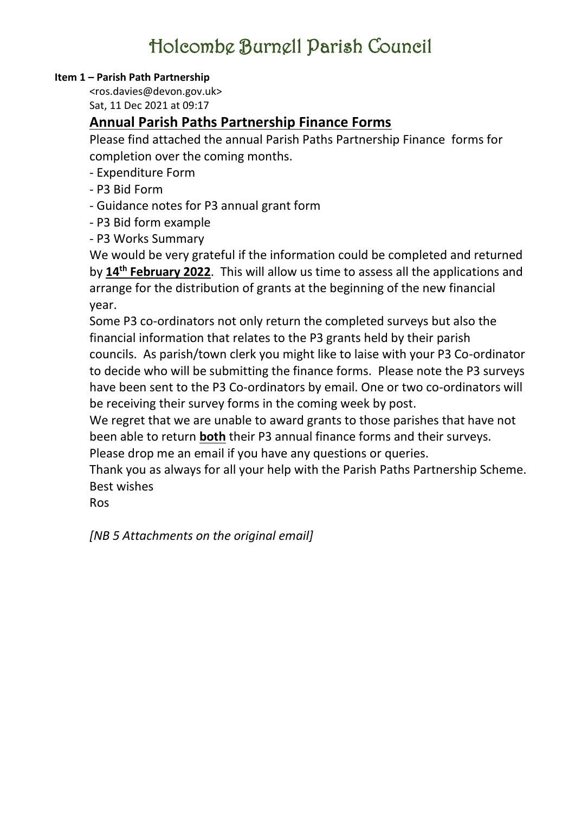### **Item 1 – Parish Path Partnership**

<ros.davies@devon.gov.uk> Sat, 11 Dec 2021 at 09:17

## **Annual Parish Paths Partnership Finance Forms**

Please find attached the annual Parish Paths Partnership Finance forms for completion over the coming months.

- Expenditure Form

- P3 Bid Form
- Guidance notes for P3 annual grant form
- P3 Bid form example
- P3 Works Summary

We would be very grateful if the information could be completed and returned by **14th February 2022**. This will allow us time to assess all the applications and arrange for the distribution of grants at the beginning of the new financial year.

Some P3 co-ordinators not only return the completed surveys but also the financial information that relates to the P3 grants held by their parish councils. As parish/town clerk you might like to laise with your P3 Co-ordinator to decide who will be submitting the finance forms. Please note the P3 surveys have been sent to the P3 Co-ordinators by email. One or two co-ordinators will be receiving their survey forms in the coming week by post.

We regret that we are unable to award grants to those parishes that have not been able to return **both** their P3 annual finance forms and their surveys.

Please drop me an email if you have any questions or queries.

Thank you as always for all your help with the Parish Paths Partnership Scheme. Best wishes

Ros

*[NB 5 Attachments on the original email]*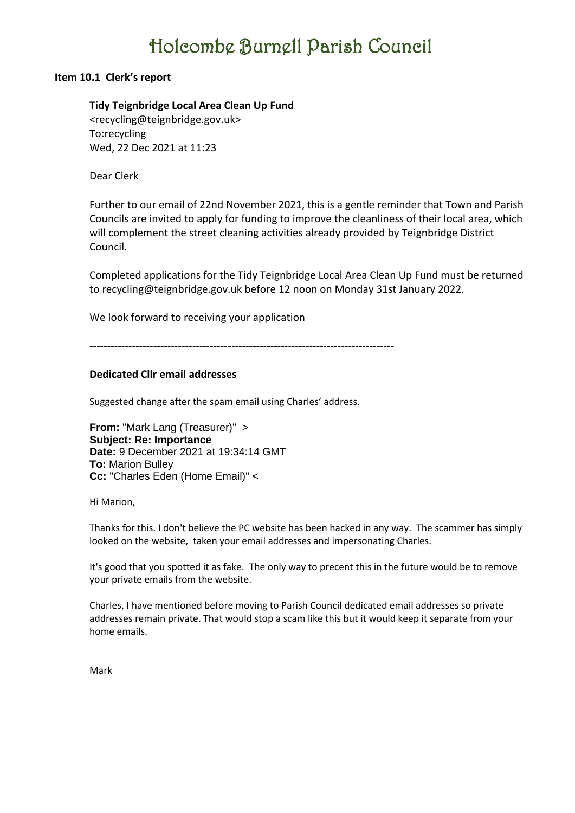#### **Item 10.1 Clerk's report**

#### **Tidy Teignbridge Local Area Clean Up Fund**

<recycling@teignbridge.gov.uk> To:recycling Wed, 22 Dec 2021 at 11:23

Dear Clerk

Further to our email of 22nd November 2021, this is a gentle reminder that Town and Parish Councils are invited to apply for funding to improve the cleanliness of their local area, which will complement the street cleaning activities already provided by Teignbridge District Council.

Completed applications for the Tidy Teignbridge Local Area Clean Up Fund must be returned to recycling@teignbridge.gov.uk before 12 noon on Monday 31st January 2022.

We look forward to receiving your application

--------------------------------------------------------------------------------------

#### **Dedicated Cllr email addresses**

Suggested change after the spam email using Charles' address.

**From:** "Mark Lang (Treasurer)" > **Subject: Re: Importance Date:** 9 December 2021 at 19:34:14 GMT **To:** Marion Bulley **Cc:** "Charles Eden (Home Email)" <

Hi Marion,

Thanks for this. I don't believe the PC website has been hacked in any way. The scammer has simply looked on the website, taken your email addresses and impersonating Charles.

It's good that you spotted it as fake. The only way to precent this in the future would be to remove your private emails from the website.

Charles, I have mentioned before moving to Parish Council dedicated email addresses so private addresses remain private. That would stop a scam like this but it would keep it separate from your home emails.

Mark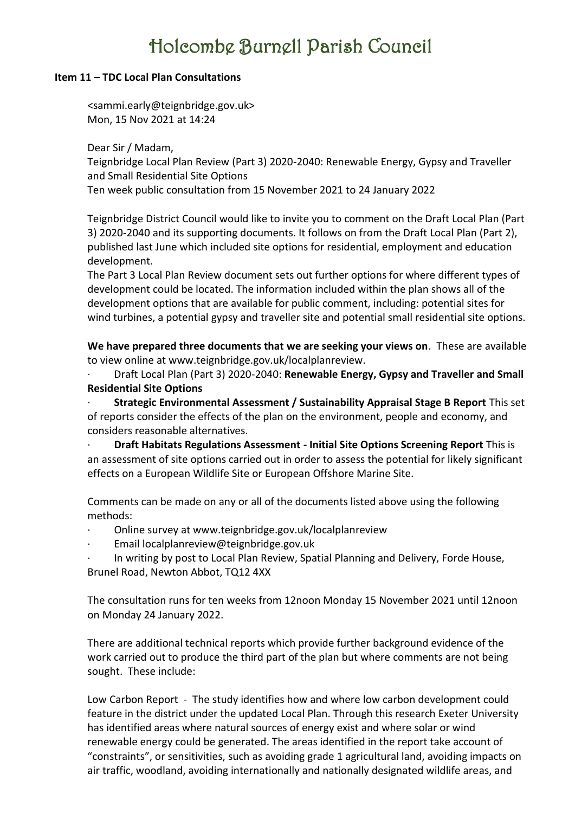#### **Item 11 – TDC Local Plan Consultations**

<sammi.early@teignbridge.gov.uk> Mon, 15 Nov 2021 at 14:24

Dear Sir / Madam, Teignbridge Local Plan Review (Part 3) 2020-2040: Renewable Energy, Gypsy and Traveller and Small Residential Site Options Ten week public consultation from 15 November 2021 to 24 January 2022

Teignbridge District Council would like to invite you to comment on the Draft Local Plan (Part 3) 2020-2040 and its supporting documents. It follows on from the Draft Local Plan (Part 2), published last June which included site options for residential, employment and education development.

The Part 3 Local Plan Review document sets out further options for where different types of development could be located. The information included within the plan shows all of the development options that are available for public comment, including: potential sites for wind turbines, a potential gypsy and traveller site and potential small residential site options.

**We have prepared three documents that we are seeking your views on**. These are available to view online at www.teignbridge.gov.uk/localplanreview.

· Draft Local Plan (Part 3) 2020-2040: **Renewable Energy, Gypsy and Traveller and Small Residential Site Options**

· **Strategic Environmental Assessment / Sustainability Appraisal Stage B Report** This set of reports consider the effects of the plan on the environment, people and economy, and considers reasonable alternatives.

· **Draft Habitats Regulations Assessment - Initial Site Options Screening Report** This is an assessment of site options carried out in order to assess the potential for likely significant effects on a European Wildlife Site or European Offshore Marine Site.

Comments can be made on any or all of the documents listed above using the following methods:

- · Online survey at www.teignbridge.gov.uk/localplanreview
- · Email localplanreview@teignbridge.gov.uk
- In writing by post to Local Plan Review, Spatial Planning and Delivery, Forde House, Brunel Road, Newton Abbot, TQ12 4XX

The consultation runs for ten weeks from 12noon Monday 15 November 2021 until 12noon on Monday 24 January 2022.

There are additional technical reports which provide further background evidence of the work carried out to produce the third part of the plan but where comments are not being sought. These include:

Low Carbon Report - The study identifies how and where low carbon development could feature in the district under the updated Local Plan. Through this research Exeter University has identified areas where natural sources of energy exist and where solar or wind renewable energy could be generated. The areas identified in the report take account of "constraints", or sensitivities, such as avoiding grade 1 agricultural land, avoiding impacts on air traffic, woodland, avoiding internationally and nationally designated wildlife areas, and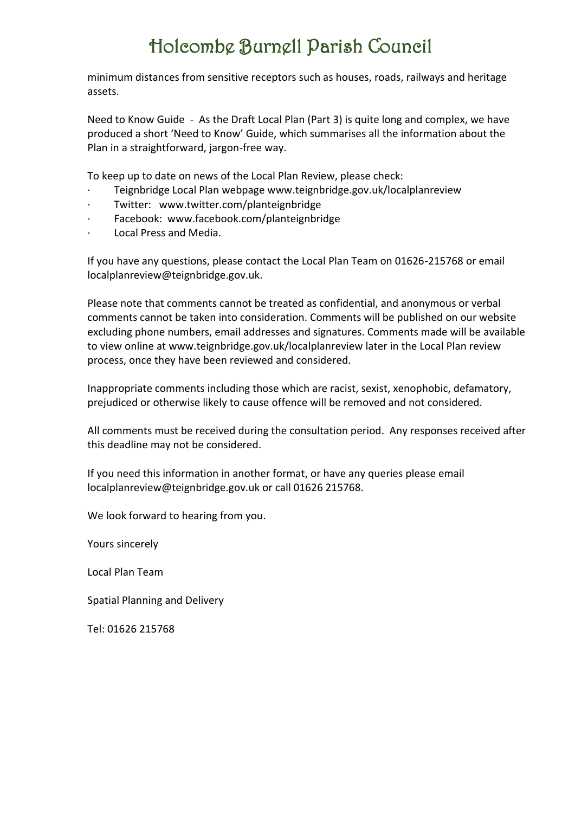minimum distances from sensitive receptors such as houses, roads, railways and heritage assets.

Need to Know Guide - As the Draft Local Plan (Part 3) is quite long and complex, we have produced a short 'Need to Know' Guide, which summarises all the information about the Plan in a straightforward, jargon-free way.

To keep up to date on news of the Local Plan Review, please check:

- · Teignbridge Local Plan webpage www.teignbridge.gov.uk/localplanreview
- · Twitter: www.twitter.com/planteignbridge
- · Facebook: www.facebook.com/planteignbridge
- · Local Press and Media.

If you have any questions, please contact the Local Plan Team on 01626-215768 or email localplanreview@teignbridge.gov.uk.

Please note that comments cannot be treated as confidential, and anonymous or verbal comments cannot be taken into consideration. Comments will be published on our website excluding phone numbers, email addresses and signatures. Comments made will be available to view online at www.teignbridge.gov.uk/localplanreview later in the Local Plan review process, once they have been reviewed and considered.

Inappropriate comments including those which are racist, sexist, xenophobic, defamatory, prejudiced or otherwise likely to cause offence will be removed and not considered.

All comments must be received during the consultation period. Any responses received after this deadline may not be considered.

If you need this information in another format, or have any queries please email localplanreview@teignbridge.gov.uk or call 01626 215768.

We look forward to hearing from you.

Yours sincerely

Local Plan Team

Spatial Planning and Delivery

Tel: 01626 215768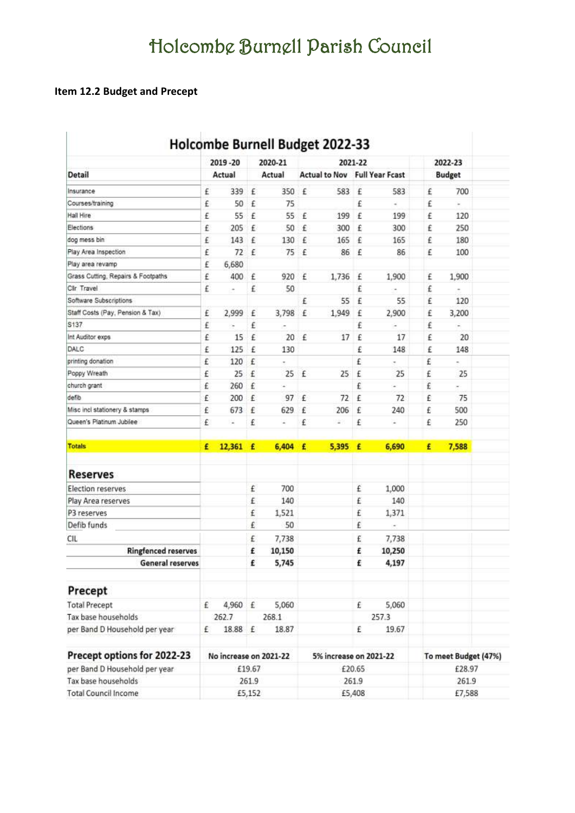## **Item 12.2 Budget and Precept**

| <b>Detail</b><br>Insurance<br>Courses/training<br>Hall Hire<br>Elections<br>dog mess bin<br>Play Area Inspection<br>Play area revamp<br>Grass Cutting, Repairs & Footpaths<br>Clir Travel<br>Software Subscriptions<br>Staff Costs (Pay, Pension & Tax)<br>S137<br>Int Auditor exps |                        |        | 2020-21 |   |                        | 2021-22 |                                      |   | 2022-23              |  |
|-------------------------------------------------------------------------------------------------------------------------------------------------------------------------------------------------------------------------------------------------------------------------------------|------------------------|--------|---------|---|------------------------|---------|--------------------------------------|---|----------------------|--|
|                                                                                                                                                                                                                                                                                     | Actual                 |        | Actual  |   |                        |         | <b>Actual to Nov Full Year Fcast</b> |   | <b>Budget</b>        |  |
|                                                                                                                                                                                                                                                                                     | 339<br>£               | £      | 350     | £ | 583                    | £       | 583                                  | £ | 700                  |  |
|                                                                                                                                                                                                                                                                                     | 50<br>£                | £      | 75      |   |                        | £       | é                                    | £ | ¥,                   |  |
|                                                                                                                                                                                                                                                                                     | 55<br>£                | £      | 55      | £ | 199                    | £       | 199                                  | £ | 120                  |  |
|                                                                                                                                                                                                                                                                                     | £<br>205               | £      | 50      | £ | 300                    | £       | 300                                  | £ | 250                  |  |
|                                                                                                                                                                                                                                                                                     | £<br>143               | £      | 130     | £ | 165                    | £       | 165                                  | £ | 180                  |  |
|                                                                                                                                                                                                                                                                                     | £<br>72                | £      | 75      | £ | 86                     | £       | 86                                   | £ | 100                  |  |
|                                                                                                                                                                                                                                                                                     | 6,680<br>£             |        |         |   |                        |         |                                      |   |                      |  |
|                                                                                                                                                                                                                                                                                     | £<br>400               | £      | 920     | £ | 1,736                  | £       | 1,900                                | £ | 1,900                |  |
|                                                                                                                                                                                                                                                                                     | £<br>$\overline{a}$    | £      | 50      |   |                        | £       |                                      | £ | ۰                    |  |
|                                                                                                                                                                                                                                                                                     |                        |        |         | £ | 55                     | £       | 55                                   | £ | 120                  |  |
|                                                                                                                                                                                                                                                                                     | £<br>2,999             | £      | 3,798   | £ | 1,949                  | £       | 2,900                                | £ | 3,200                |  |
|                                                                                                                                                                                                                                                                                     | £<br>×                 | £      |         |   |                        | £       |                                      | £ | ÷,                   |  |
|                                                                                                                                                                                                                                                                                     | £<br>15                | £      | 20      | £ | 17                     | £       | 17                                   | £ | 20                   |  |
| DALC                                                                                                                                                                                                                                                                                | 125<br>£               | £      | 130     |   |                        | £       | 148                                  | £ | 148                  |  |
| printing donation                                                                                                                                                                                                                                                                   | £<br>120               | £      |         |   |                        | £       |                                      | £ | ×.                   |  |
| Poppy Wreath                                                                                                                                                                                                                                                                        | £<br>25                | £      | 25      | £ | 25                     | £       | 25                                   | £ | 25                   |  |
| church grant                                                                                                                                                                                                                                                                        | £<br>260               | £      | ×.      |   |                        | £       | ä,                                   | £ | ×.                   |  |
| defib.                                                                                                                                                                                                                                                                              | £<br>200               | £      | 97      | £ | 72                     | £       | 72                                   | £ | 75                   |  |
| Misc incl stationery & stamps                                                                                                                                                                                                                                                       | £<br>673               | £      | 629     | £ | 206                    | £       | 240                                  | £ | 500                  |  |
| Queen's Platinum Jubilee                                                                                                                                                                                                                                                            | £<br>¥                 | £      | ٠       | £ | $\equiv$               | £       | ٠                                    | £ | 250                  |  |
| <b>Totals</b>                                                                                                                                                                                                                                                                       | 12,361<br>£            | £      | 6,404   | £ | 5,395                  | £       | 6,690                                | £ | 7,588                |  |
| Reserves                                                                                                                                                                                                                                                                            |                        |        |         |   |                        |         |                                      |   |                      |  |
| Election reserves                                                                                                                                                                                                                                                                   |                        | £      | 700     |   |                        | £       | 1,000                                |   |                      |  |
| Play Area reserves                                                                                                                                                                                                                                                                  |                        | £      | 140     |   |                        | £       | 140                                  |   |                      |  |
| P3 reserves                                                                                                                                                                                                                                                                         |                        | £      | 1,521   |   |                        | £       | 1,371                                |   |                      |  |
| Defib funds                                                                                                                                                                                                                                                                         |                        | £      | 50      |   |                        | £       | ×,                                   |   |                      |  |
| CIL                                                                                                                                                                                                                                                                                 |                        | £      | 7,738   |   |                        | £       | 7,738                                |   |                      |  |
| <b>Ringfenced reserves</b>                                                                                                                                                                                                                                                          |                        | £      | 10,150  |   |                        | £       | 10,250                               |   |                      |  |
| General reserves                                                                                                                                                                                                                                                                    |                        | £      | 5,745   |   |                        | £       | 4,197                                |   |                      |  |
| Precept                                                                                                                                                                                                                                                                             |                        |        |         |   |                        |         |                                      |   |                      |  |
| <b>Total Precept</b>                                                                                                                                                                                                                                                                | £<br>4,960 £           |        | 5,060   |   |                        | £       | 5,060                                |   |                      |  |
| Tax base households                                                                                                                                                                                                                                                                 | 262.7                  |        | 268.1   |   |                        |         | 257.3                                |   |                      |  |
| per Band D Household per year                                                                                                                                                                                                                                                       | 18.88 £<br>£           |        | 18.87   |   |                        | £       | 19.67                                |   |                      |  |
| Precept options for 2022-23                                                                                                                                                                                                                                                         | No increase on 2021-22 |        |         |   | 5% increase on 2021-22 |         |                                      |   | To meet Budget (47%) |  |
| per Band D Household per year                                                                                                                                                                                                                                                       |                        | £19.67 |         |   |                        | £20.65  |                                      |   | £28.97               |  |
| Tax base households                                                                                                                                                                                                                                                                 |                        | 261.9  |         |   |                        | 261.9   |                                      |   | 261.9                |  |
| <b>Total Council Income</b>                                                                                                                                                                                                                                                         |                        | £5,152 |         |   |                        | £5,408  |                                      |   | £7,588               |  |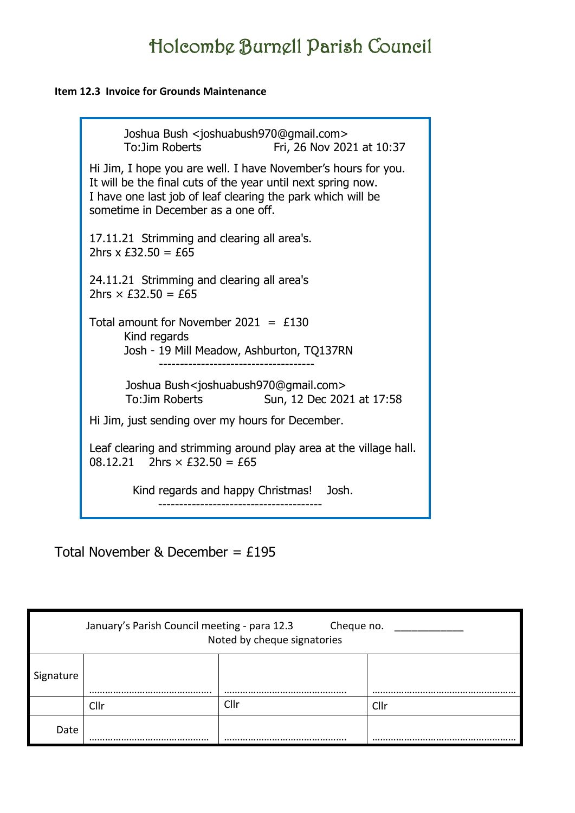### **Item 12.3 Invoice for Grounds Maintenance**

| Joshua Bush <joshuabush970@gmail.com><br/>To: Jim Roberts<br/>Fri, 26 Nov 2021 at 10:37</joshuabush970@gmail.com>                                                                                                                  |
|------------------------------------------------------------------------------------------------------------------------------------------------------------------------------------------------------------------------------------|
| Hi Jim, I hope you are well. I have November's hours for you.<br>It will be the final cuts of the year until next spring now.<br>I have one last job of leaf clearing the park which will be<br>sometime in December as a one off. |
| 17.11.21 Strimming and clearing all area's.<br>2hrs $x \, \text{£}32.50 = \text{£}65$                                                                                                                                              |
| 24.11.21 Strimming and clearing all area's<br>2hrs $\times$ £32.50 = £65                                                                                                                                                           |
| Total amount for November 2021 = $£130$<br>Kind regards<br>Josh - 19 Mill Meadow, Ashburton, TQ137RN                                                                                                                               |
| Joshua Bush <joshuabush970@gmail.com><br/>To: Jim Roberts<br/>Sun, 12 Dec 2021 at 17:58</joshuabush970@gmail.com>                                                                                                                  |
| Hi Jim, just sending over my hours for December.                                                                                                                                                                                   |
| Leaf clearing and strimming around play area at the village hall.<br>08.12.21 2hrs $\times$ £32.50 = £65                                                                                                                           |
| Kind regards and happy Christmas! Josh.                                                                                                                                                                                            |

Total November & December =  $£195$ 

|           | January's Parish Council meeting - para 12.3 | Cheque no.<br>Noted by cheque signatories |      |
|-----------|----------------------------------------------|-------------------------------------------|------|
| Signature |                                              |                                           |      |
|           | Cllr                                         | Cllr                                      | Cllr |
| Date      | <br>                                         |                                           |      |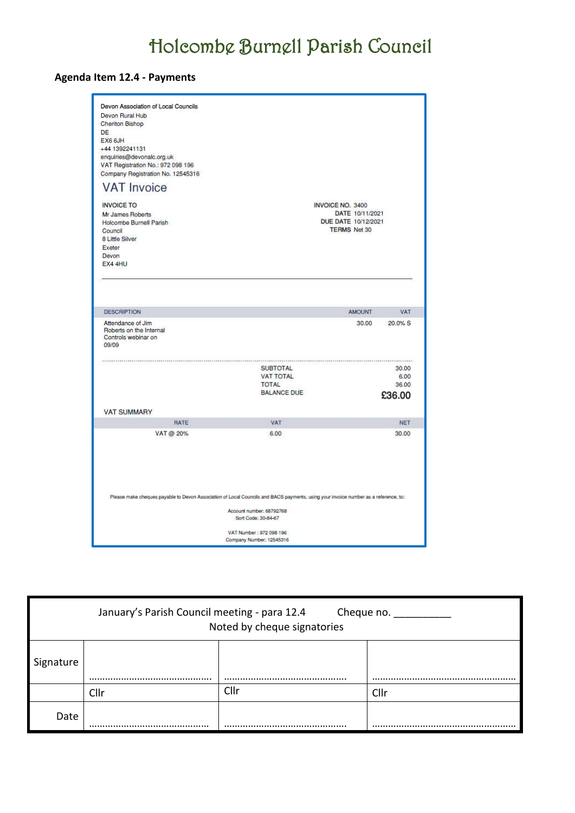## **Agenda Item 12.4 - Payments**

| Devon Association of Local Councils<br>Devon Rural Hub<br>Cheriton Bishop<br>DE<br>EX6 6JH<br>+44 1392241131<br>enquiries@devonalc.org.uk<br>VAT Registration No.: 972 098 196<br>Company Registration No. 12545316 |                                                                                                        |                                                                                   |               |
|---------------------------------------------------------------------------------------------------------------------------------------------------------------------------------------------------------------------|--------------------------------------------------------------------------------------------------------|-----------------------------------------------------------------------------------|---------------|
| <b>VAT Invoice</b>                                                                                                                                                                                                  |                                                                                                        |                                                                                   |               |
| <b>INVOICE TO</b><br>Mr James Roberts<br>Holcombe Burnell Parish<br>Council<br>8 Little Silver<br>Exeter<br>Devon<br>EX4 4HU                                                                                        |                                                                                                        | INVOICE NO. 3400<br>DATE 10/11/2021<br>DUE DATE 10/12/2021<br><b>TERMS Net 30</b> |               |
|                                                                                                                                                                                                                     |                                                                                                        |                                                                                   |               |
| <b>DESCRIPTION</b>                                                                                                                                                                                                  |                                                                                                        | <b>AMOUNT</b>                                                                     | VAT           |
| Attendance of Jim<br>Roberts on the Internal<br>Controls webinar on<br>09/09                                                                                                                                        |                                                                                                        | 30.00                                                                             | 20.0% S       |
|                                                                                                                                                                                                                     | <b>SUBTOTAL</b>                                                                                        |                                                                                   | 30.00         |
|                                                                                                                                                                                                                     | <b>VAT TOTAL</b><br>TOTAL                                                                              |                                                                                   | 6.00<br>36.00 |
|                                                                                                                                                                                                                     | <b>BALANCE DUE</b>                                                                                     |                                                                                   |               |
|                                                                                                                                                                                                                     |                                                                                                        |                                                                                   | £36.00        |
| <b>VAT SUMMARY</b>                                                                                                                                                                                                  |                                                                                                        |                                                                                   |               |
| RATE                                                                                                                                                                                                                | VAT                                                                                                    |                                                                                   | NET           |
| VAT @ 20%                                                                                                                                                                                                           | 6.00                                                                                                   |                                                                                   | 30.00         |
| Please make cheques payable to Devon Association of Local Councils and BACS payments, using your invoice number as a reference, to:                                                                                 | Account number: 68792768<br>Sort Code: 30-84-67<br>VAT Number: 972 098 196<br>Company Number; 12545316 |                                                                                   |               |

| January's Parish Council meeting - para 12.4<br>Cheque no.<br>Noted by cheque signatories |      |      |      |  |  |  |
|-------------------------------------------------------------------------------------------|------|------|------|--|--|--|
| Signature                                                                                 |      |      |      |  |  |  |
|                                                                                           | Cllr | Cllr | Cllr |  |  |  |
| Date                                                                                      |      |      |      |  |  |  |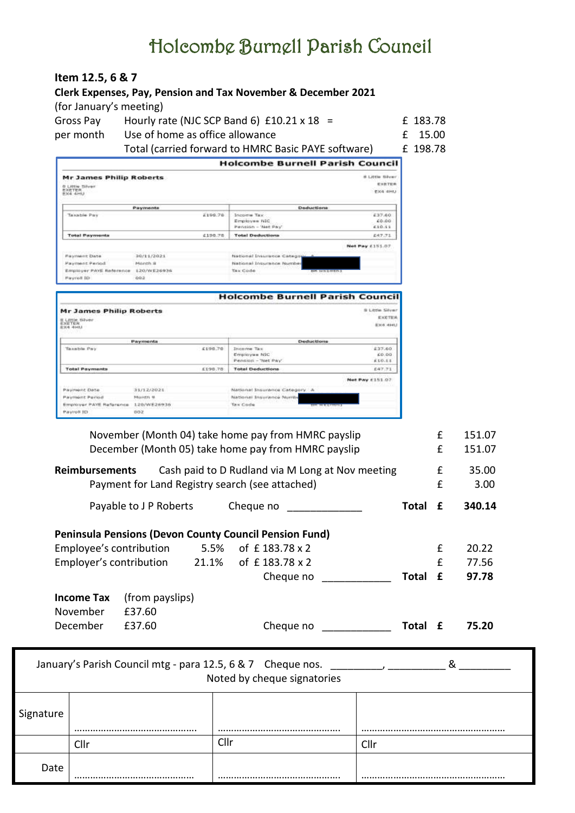**Item 12.5, 6 & 7**

| per month                                                             | Use of home as office allowance                   |                                                                                                                                                                                                                                | £                                                  | 15.00    |   |                                                                       |
|-----------------------------------------------------------------------|---------------------------------------------------|--------------------------------------------------------------------------------------------------------------------------------------------------------------------------------------------------------------------------------|----------------------------------------------------|----------|---|-----------------------------------------------------------------------|
|                                                                       |                                                   | Total (carried forward to HMRC Basic PAYE software)                                                                                                                                                                            |                                                    | £ 198.78 |   |                                                                       |
|                                                                       |                                                   | <b>Holcombe Burnell Parish Council</b>                                                                                                                                                                                         |                                                    |          |   |                                                                       |
| <b>Mr James Philip Roberts</b><br>8 LIttle Silver<br>EXETER<br>EXETER |                                                   |                                                                                                                                                                                                                                | <b>B.Little Silver</b><br>EXETER<br><b>EXA AHU</b> |          |   |                                                                       |
| Taxable Pay                                                           | Payments<br>£199.78                               | Deductions<br>Income Tax                                                                                                                                                                                                       | 637.60                                             |          |   |                                                                       |
|                                                                       |                                                   | Employee NIC<br>Pennsion - 'Net Pay'                                                                                                                                                                                           | 40.00<br>610.11                                    |          |   |                                                                       |
| <b>Total Payments</b>                                                 | 6198.78                                           | <b>Total Deductions</b>                                                                                                                                                                                                        | 847.71                                             |          |   |                                                                       |
| <b>Flayment Date</b><br>Payment Pengd                                 | 30/11/2021<br>Manth #                             | National Insurance Catego<br>National Insurance Number                                                                                                                                                                         | Net Pay £151.07                                    |          |   |                                                                       |
| <b>Paycoll ID</b>                                                     | Employer PAYE Reference 120/WE26936<br><b>GDS</b> | Tax Code                                                                                                                                                                                                                       |                                                    |          |   |                                                                       |
|                                                                       |                                                   | <b>Holcombe Burnell Parish Council</b>                                                                                                                                                                                         |                                                    |          |   |                                                                       |
| <b>Mr James Philip Roberts</b>                                        |                                                   |                                                                                                                                                                                                                                | 9 Little Silver                                    |          |   |                                                                       |
| <b>B. Little Silver</b><br>EXETER<br>EX4 4HU                          |                                                   |                                                                                                                                                                                                                                | EXETER<br>Ex4 4HU                                  |          |   |                                                                       |
| Taxable Pay                                                           | Payments<br>£198.70                               | Deductions<br><b>Income Tax</b>                                                                                                                                                                                                | 437.60                                             |          |   |                                                                       |
| <b>Total Payments</b>                                                 | 6198.78                                           | Employee NSC<br>Pencion - 'Net Pay'<br><b>Total Deductions</b>                                                                                                                                                                 | 60.00<br>610.11<br>647.71                          |          |   |                                                                       |
|                                                                       |                                                   |                                                                                                                                                                                                                                | <b>Not Pay £151.07</b>                             |          |   |                                                                       |
| Payment Date<br>Payment Period                                        | 31/12/2021<br>Month #                             | National Insurance Category. A<br>National Insurance Numb                                                                                                                                                                      |                                                    |          |   |                                                                       |
|                                                                       | Employer PAYE Reference 120/WE26936               | Tax Code                                                                                                                                                                                                                       |                                                    |          |   |                                                                       |
| Payrok ID                                                             | 002                                               |                                                                                                                                                                                                                                |                                                    |          |   |                                                                       |
|                                                                       |                                                   |                                                                                                                                                                                                                                |                                                    |          |   |                                                                       |
|                                                                       |                                                   |                                                                                                                                                                                                                                |                                                    |          | £ |                                                                       |
|                                                                       |                                                   | November (Month 04) take home pay from HMRC payslip                                                                                                                                                                            |                                                    |          | £ | 151.07                                                                |
|                                                                       |                                                   | December (Month 05) take home pay from HMRC payslip                                                                                                                                                                            |                                                    |          |   |                                                                       |
| <b>Reimbursements</b>                                                 |                                                   | Cash paid to D Rudland via M Long at Nov meeting                                                                                                                                                                               |                                                    |          | £ |                                                                       |
|                                                                       |                                                   | Payment for Land Registry search (see attached)                                                                                                                                                                                |                                                    |          | £ |                                                                       |
|                                                                       | Payable to J P Roberts                            | Cheque no                                                                                                                                                                                                                      |                                                    | Total £  |   |                                                                       |
|                                                                       |                                                   |                                                                                                                                                                                                                                |                                                    |          |   |                                                                       |
|                                                                       | Employee's contribution                           | Peninsula Pensions (Devon County Council Pension Fund)<br>5.5% of £183.78 x 2                                                                                                                                                  |                                                    |          | £ |                                                                       |
|                                                                       | Employer's contribution<br>21.1%                  | of £183.78 x 2                                                                                                                                                                                                                 |                                                    |          | £ |                                                                       |
|                                                                       |                                                   | Cheque no                                                                                                                                                                                                                      |                                                    | Total £  |   |                                                                       |
|                                                                       |                                                   |                                                                                                                                                                                                                                |                                                    |          |   |                                                                       |
| <b>Income Tax</b>                                                     | (from payslips)                                   |                                                                                                                                                                                                                                |                                                    |          |   |                                                                       |
| November                                                              | £37.60                                            |                                                                                                                                                                                                                                |                                                    |          |   |                                                                       |
| December                                                              | £37.60                                            | Cheque no metal change of the state of the state of the state of the state of the state of the state of the state of the state of the state of the state of the state of the state of the state of the state of the state of t |                                                    | Total £  |   |                                                                       |
|                                                                       |                                                   |                                                                                                                                                                                                                                |                                                    |          |   | 151.07<br>35.00<br>3.00<br>340.14<br>20.22<br>77.56<br>97.78<br>75.20 |
|                                                                       |                                                   | January's Parish Council mtg - para 12.5, 6 & 7 Cheque nos.                                                                                                                                                                    |                                                    |          | & |                                                                       |
|                                                                       |                                                   | Noted by cheque signatories                                                                                                                                                                                                    |                                                    |          |   |                                                                       |
|                                                                       |                                                   |                                                                                                                                                                                                                                |                                                    |          |   |                                                                       |
|                                                                       |                                                   |                                                                                                                                                                                                                                |                                                    |          |   |                                                                       |
| Signature                                                             |                                                   |                                                                                                                                                                                                                                |                                                    |          |   |                                                                       |
| Cllr                                                                  |                                                   | Cllr                                                                                                                                                                                                                           | Cllr                                               |          |   |                                                                       |